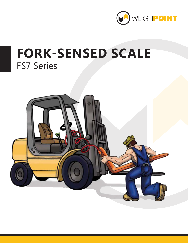

# **FORK-SENSED SCALE** FS7 Series

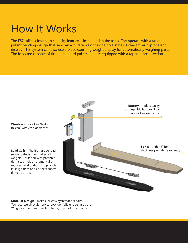## How It Works

The FS7 utilizes four high capacity load cells imbedded in the forks. The operate with a unique patent pending design that send an accurate weight signal to a state-of-the-art microprocessor display. This system can also use a piece counting weight display for automatically weighing parts. The forks are capable of fitting standard pallets and are equipped with a tapered nose section.



**Modular Design** - makes for easy systematic repairs. You local weigh scale service provider fully understands the WeighPoint system, thus facilitating low cost maintenance.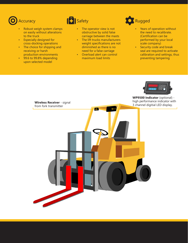

### **B** Safety

- Robust weigh system clamps on easily without alterations to the truck
- Especially designed for cross-docking operations
- The choice for shipping and receiving or harsh production environments
- 99.6 to 99.8% depending upon selected model



- The lift trucks manufacturers weight specifications are not diminished as there is no need for a false carriage
- Overload alert can control maximum load limits



- Years of operation without the need to recalibrate. (Certification can be performed by your local scale company)
- Security code and break seal are required to activate calibration and settings, thus preventing tampering